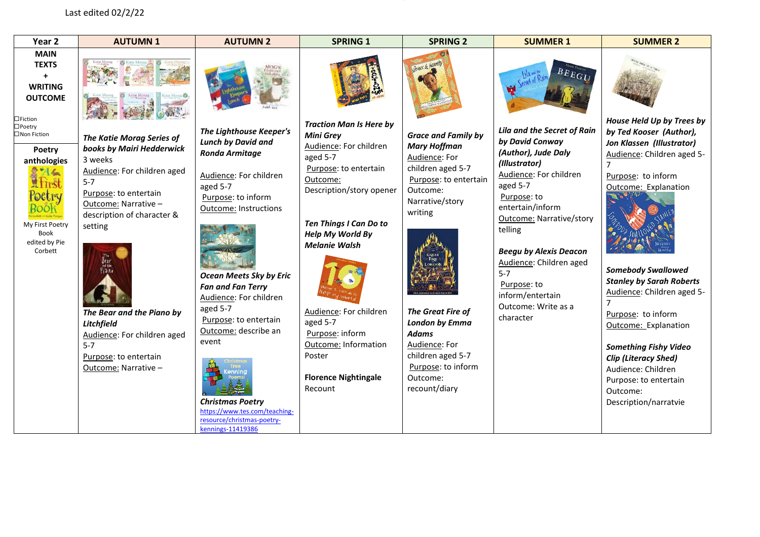## Last edited 02/2/22